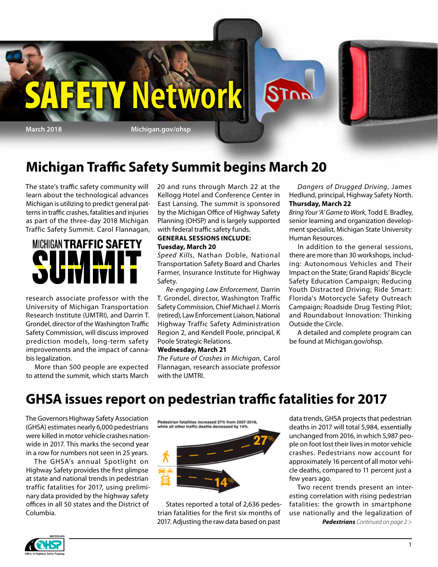

## **Michigan Traffic Safety Summit begins March 20**

The state's traffic safety community will learn about the technological advances Michigan is utilizing to predict general patterns in traffic crashes, fatalities and injuries as part of the three-day 2018 Michigan Traffic Safety Summit. Carol Flannagan,



research associate professor with the University of Michigan Transportation Research Institute (UMTRI), and Darrin T. Grondel, director of the Washington Traffic Safety Commission, will discuss improved prediction models, long-term safety improvements and the impact of cannabis legalization.

More than 500 people are expected to attend the summit, which starts March

20 and runs through March 22 at the Kellogg Hotel and Conference Center in East Lansing. The summit is sponsored by the Michigan Office of Highway Safety Planning (OHSP) and is largely supported with federal traffic safety funds.

#### **GENERAL SESSIONS INCLUDE: Tuesday, March 20**

*Speed Kills*, Nathan Doble, National Transportation Safety Board and Charles Farmer, Insurance Institute for Highway Safety.

*Re-engaging Law Enforcement*, Darrin T. Grondel, director, Washington Traffic Safety Commission, Chief Michael J. Morris (retired), Law Enforcement Liaison, National Highway Traffic Safety Administration Region 2, and Kendell Poole, principal, K Poole Strategic Relations.

#### **Wednesday, March 21**

*The Future of Crashes in Michigan*, Carol Flannagan, research associate professor with the UMTRI.

*Dangers of Drugged Driving*, James Hedlund, principal, Highway Safety North. **Thursday, March 22**

*Bring Your 'A' Game to Work*, Todd E. Bradley, senior learning and organization development specialist, Michigan State University Human Resources.

In addition to the general sessions, there are more than 30 workshops, including: Autonomous Vehicles and Their Impact on the State; Grand Rapids' Bicycle Safety Education Campaign; Reducing Youth Distracted Driving; Ride Smart: Florida's Motorcycle Safety Outreach Campaign; Roadside Drug Testing Pilot; and Roundabout Innovation: Thinking Outside the Circle.

A detailed and complete program can be found at Michigan.gov/ohsp.

## **GHSA issues report on pedestrian traffic fatalities for 2017**

The Governors Highway Safety Association (GHSA) estimates nearly 6,000 pedestrians were killed in motor vehicle crashes nationwide in 2017. This marks the second year in a row for numbers not seen in 25 years.

The GHSA's annual Spotlight on Highway Safety provides the first glimpse at state and national trends in pedestrian traffic fatalities for 2017, using preliminary data provided by the highway safety offices in all 50 states and the District of Columbia.





States reported a total of 2,636 pedestrian fatalities for the first six months of 2017. Adjusting the raw data based on past

data trends, GHSA projects that pedestrian deaths in 2017 will total 5,984, essentially unchanged from 2016, in which 5,987 people on foot lost their lives in motor vehicle crashes. Pedestrians now account for approximately 16 percent of all motor vehicle deaths, compared to 11 percent just a few years ago.

Two recent trends present an interesting correlation with rising pedestrian fatalities: the growth in smartphone use nationally and the legalization of

*Pedestrians Continued on page 2 >*

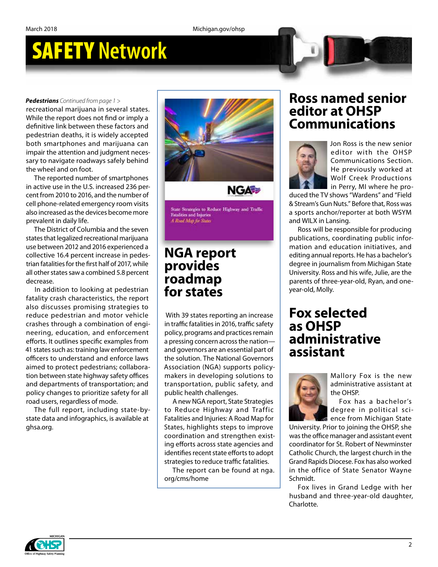# SAFETY **Network**

#### *Pedestrians Continued from page 1 >*

recreational marijuana in several states. While the report does not find or imply a definitive link between these factors and pedestrian deaths, it is widely accepted both smartphones and marijuana can impair the attention and judgment necessary to navigate roadways safely behind the wheel and on foot.

The reported number of smartphones in active use in the U.S. increased 236 percent from 2010 to 2016, and the number of cell phone-related emergency room visits also increased as the devices become more prevalent in daily life.

The District of Columbia and the seven states that legalized recreational marijuana use between 2012 and 2016 experienced a collective 16.4 percent increase in pedestrian fatalities for the first half of 2017, while all other states saw a combined 5.8 percent decrease.

In addition to looking at pedestrian fatality crash characteristics, the report also discusses promising strategies to reduce pedestrian and motor vehicle crashes through a combination of engineering, education, and enforcement efforts. It outlines specific examples from 41 states such as: training law enforcement officers to understand and enforce laws aimed to protect pedestrians; collaboration between state highway safety offices and departments of transportation; and policy changes to prioritize safety for all road users, regardless of mode.

The full report, including state-bystate data and infographics, is available at ghsa.org.



tate Strategies to Reduce Highway and Traffic **Fatalities and Injuries** A Road Map for States

### **NGA report provides roadmap for states**

 With 39 states reporting an increase in traffic fatalities in 2016, traffic safety policy, programs and practices remain a pressing concern across the nation and governors are an essential part of the solution. The National Governors Association (NGA) supports policymakers in developing solutions to transportation, public safety, and public health challenges.

A new NGA report, State Strategies to Reduce Highway and Traffic Fatalities and Injuries: A Road Map for States, highlights steps to improve coordination and strengthen existing efforts across state agencies and identifies recent state efforts to adopt strategies to reduce traffic fatalities.

The report can be found at nga. org/cms/home

### **Ross named senior editor at OHSP Communications**



Jon Ross is the new senior editor with the OHSP Communications Section. He previously worked at Wolf Creek Productions in Perry, MI where he pro-

duced the TV shows "Wardens" and "Field & Stream's Gun Nuts." Before that, Ross was a sports anchor/reporter at both WSYM and WILX in Lansing.

Ross will be responsible for producing publications, coordinating public information and education initiatives, and editing annual reports. He has a bachelor's degree in journalism from Michigan State University. Ross and his wife, Julie, are the parents of three-year-old, Ryan, and oneyear-old, Molly.

### **Fox selected as OHSP administrative assistant**



Mallory Fox is the new administrative assistant at the OHSP.

Fox has a bachelor's degree in political science from Michigan State

University. Prior to joining the OHSP, she was the office manager and assistant event coordinator for St. Robert of Newminster Catholic Church, the largest church in the Grand Rapids Diocese. Fox has also worked in the office of State Senator Wayne Schmidt.

Fox lives in Grand Ledge with her husband and three-year-old daughter, Charlotte.

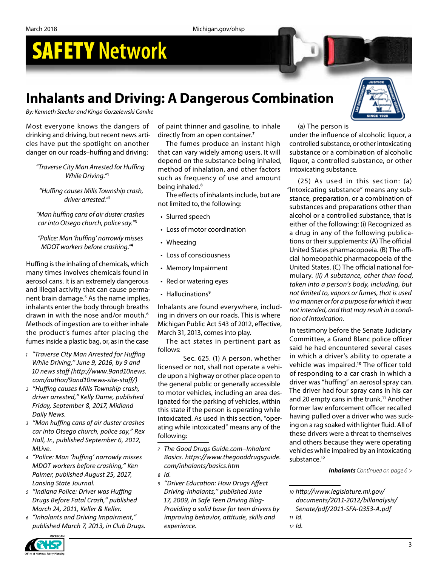March 2018 Michigan.gov/ohsp

# SAFETY **Network**

## **Inhalants and Driving: A Dangerous Combination**

*By: Kenneth Stecker and Kinga Gorzelewski Canike*

Most everyone knows the dangers of drinking and driving, but recent news articles have put the spotlight on another danger on our roads–huffing and driving:

*"Traverse City Man Arrested for Huffing While Driving."***<sup>1</sup>**

*"Huffing causes Mills Township crash, driver arrested."***<sup>2</sup>**

*"Man huffing cans of air duster crashes car into Otsego church, police say."***<sup>3</sup>**

*"Police: Man 'huffing' narrowly misses MDOT workers before crashing."***<sup>4</sup>**

Huffing is the inhaling of chemicals, which many times involves chemicals found in aerosol cans. It is an extremely dangerous and illegal activity that can cause permanent brain damage.**<sup>5</sup>** As the name implies, inhalants enter the body through breaths drawn in with the nose and/or mouth.**<sup>6</sup>** Methods of ingestion are to either inhale the product's fumes after placing the fumes inside a plastic bag, or, as in the case

- *<sup>1</sup> "Traverse City Man Arrested for Huffing While Driving," June 9, 2016, by 9 and 10 news staff (http://www.9and10news. com/author/9and10news-site-staff/)*
- *<sup>2</sup> "Huffing causes Mills Township crash, driver arrested," Kelly Dame, published Friday, September 8, 2017, Midland Daily News.*
- *<sup>3</sup> "Man huffing cans of air duster crashes car into Otsego church, police say," Rex Hall, Jr., published September 6, 2012, MLive.*

*<sup>4</sup> "Police: Man 'huffing' narrowly misses MDOT workers before crashing," Ken Palmer, published August 25, 2017, Lansing State Journal.*

- *<sup>5</sup> "Indiana Police: Driver was Huffing Drugs Before Fatal Crash," published March 24, 2011, Keller & Keller.*
- *<sup>6</sup> "Inhalants and Driving Impairment," published March 7, 2013, in Club Drugs.*

of paint thinner and gasoline, to inhale directly from an open container.**<sup>7</sup>**

The fumes produce an instant high that can vary widely among users. It will depend on the substance being inhaled, method of inhalation, and other factors such as frequency of use and amount being inhaled.**<sup>8</sup>**

The effects of inhalants include, but are not limited to, the following:

- Slurred speech
- Loss of motor coordination
- Wheezing
- Loss of consciousness
- Memory Impairment
- Red or watering eyes
- Hallucinations**<sup>9</sup>**

Inhalants are found everywhere, including in drivers on our roads. This is where Michigan Public Act 543 of 2012, effective, March 31, 2013, comes into play.

The act states in pertinent part as follows:

Sec. 625. (1) A person, whether licensed or not, shall not operate a vehicle upon a highway or other place open to the general public or generally accessible to motor vehicles, including an area designated for the parking of vehicles, within this state if the person is operating while intoxicated. As used in this section, "operating while intoxicated" means any of the following:

- *<sup>7</sup> The Good Drugs Guide.com–Inhalant Basics. https://www.thegooddrugsguide. com/inhalants/basics.htm*
- *<sup>8</sup> Id.*
- *<sup>9</sup> "Driver Education: How Drugs Affect Driving-Inhalants," published June 17, 2009, in Safe Teen Driving Blog-Providing a solid base for teen drivers by improving behavior, attitude, skills and experience.*

(a) The person is

under the influence of alcoholic liquor, a controlled substance, or other intoxicating substance or a combination of alcoholic liquor, a controlled substance, or other intoxicating substance.

(25) As used in this section: (a) "Intoxicating substance" means any substance, preparation, or a combination of substances and preparations other than alcohol or a controlled substance, that is either of the following: (i) Recognized as a drug in any of the following publications or their supplements: (A) The official United States pharmacopoeia. (B) The official homeopathic pharmacopoeia of the United States. (C) The official national formulary. *(ii) A substance, other than food, taken into a person's body, including, but not limited to, vapors or fumes, that is used in a manner or for a purpose for which it was not intended, and that may result in a condition of intoxication.*

In testimony before the Senate Judiciary Committee, a Grand Blanc police officer said he had encountered several cases in which a driver's ability to operate a vehicle was impaired.**<sup>10</sup>** The officer told of responding to a car crash in which a driver was "huffing" an aerosol spray can. The driver had four spray cans in his car and 20 empty cans in the trunk.**<sup>11</sup>** Another former law enforcement officer recalled having pulled over a driver who was sucking on a rag soaked with lighter fluid. All of these drivers were a threat to themselves and others because they were operating vehicles while impaired by an intoxicating substance.**<sup>12</sup>**

*Inhalants Continued on page 6 >*





*<sup>10</sup> http://www.legislature.mi.gov/ documents/2011-2012/billanalysis/*

*Senate/pdf/2011-SFA-0353-A.pdf <sup>11</sup> Id.*

*<sup>12</sup> Id.*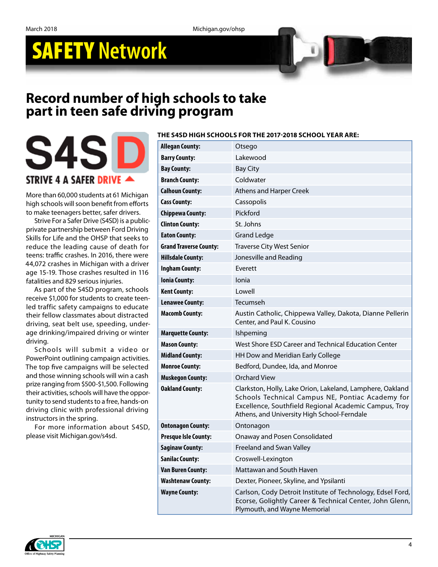March 2018 Michigan.gov/ohsp

# SAFETY **Network**

### **Record number of high schools to take part in teen safe driving program**



More than 60,000 students at 61 Michigan high schools will soon benefit from efforts to make teenagers better, safer drivers.

Strive For a Safer Drive (S4SD) is a publicprivate partnership between Ford Driving Skills for Life and the OHSP that seeks to reduce the leading cause of death for teens: traffic crashes. In 2016, there were 44,072 crashes in Michigan with a driver age 15-19. Those crashes resulted in 116 fatalities and 829 serious injuries.

As part of the S4SD program, schools receive \$1,000 for students to create teenled traffic safety campaigns to educate their fellow classmates about distracted driving, seat belt use, speeding, underage drinking/impaired driving or winter driving.

Schools will submit a video or PowerPoint outlining campaign activities. The top five campaigns will be selected and those winning schools will win a cash prize ranging from \$500-\$1,500. Following their activities, schools will have the opportunity to send students to a free, hands-on driving clinic with professional driving instructors in the spring.

For more information about S4SD, please visit Michigan.gov/s4sd.



Plymouth, and Wayne Memorial

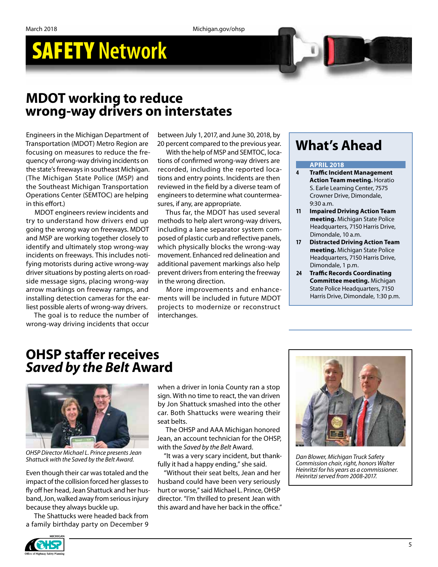# SAFETY **Network**

### **MDOT working to reduce wrong-way drivers on interstates**

Engineers in the Michigan Department of Transportation (MDOT) Metro Region are focusing on measures to reduce the frequency of wrong-way driving incidents on the state's freeways in southeast Michigan. (The Michigan State Police (MSP) and the Southeast Michigan Transportation Operations Center (SEMTOC) are helping in this effort.)

MDOT engineers review incidents and try to understand how drivers end up going the wrong way on freeways. MDOT and MSP are working together closely to identify and ultimately stop wrong-way incidents on freeways. This includes notifying motorists during active wrong-way driver situations by posting alerts on roadside message signs, placing wrong-way arrow markings on freeway ramps, and installing detection cameras for the earliest possible alerts of wrong-way drivers.

The goal is to reduce the number of wrong-way driving incidents that occur

between July 1, 2017, and June 30, 2018, by 20 percent compared to the previous year.

With the help of MSP and SEMTOC, locations of confirmed wrong-way drivers are recorded, including the reported locations and entry points. Incidents are then reviewed in the field by a diverse team of engineers to determine what countermeasures, if any, are appropriate.

Thus far, the MDOT has used several methods to help alert wrong-way drivers, including a lane separator system composed of plastic curb and reflective panels, which physically blocks the wrong-way movement. Enhanced red delineation and additional pavement markings also help prevent drivers from entering the freeway in the wrong direction.

More improvements and enhancements will be included in future MDOT projects to modernize or reconstruct interchanges.

## **What's Ahead**

#### **APRIL 2018**

- **4 Traffic Incident Management Action Team meeting.** Horatio S. Earle Learning Center, 7575 Crowner Drive, Dimondale, 9:30 a.m.
- **11 Impaired Driving Action Team meeting.** Michigan State Police Headquarters, 7150 Harris Drive, Dimondale, 10 a.m.
- **17 Distracted Driving Action Team meeting.** Michigan State Police Headquarters, 7150 Harris Drive, Dimondale, 1 p.m.
- **24 Traffic Records Coordinating Committee meeting.** Michigan State Police Headquarters, 7150 Harris Drive, Dimondale, 1:30 p.m.

### **OHSP staffer receives**  *Saved by the Belt* **Award**



*OHSP Director Michael L. Prince presents Jean* 

Even though their car was totaled and the impact of the collision forced her glasses to fly off her head, Jean Shattuck and her husband, Jon, walked away from serious injury because they always buckle up.

The Shattucks were headed back from a family birthday party on December 9

when a driver in Ionia County ran a stop sign. With no time to react, the van driven by Jon Shattuck smashed into the other car. Both Shattucks were wearing their seat belts.

The OHSP and AAA Michigan honored Jean, an account technician for the OHSP, with the *Saved by the Belt* Award.

"It was a very scary incident, but thankfully it had a happy ending," she said. *Shattuck with the Saved by the Belt Award. Dan Blower, Michigan Truck Safety* 

> "Without their seat belts, Jean and her husband could have been very seriously hurt or worse," said Michael L. Prince, OHSP director. "I'm thrilled to present Jean with this award and have her back in the office"



*Commission chair, right, honors Walter Heinritzi for his years as a commissioner. Heinritzi served from 2008-2017.*